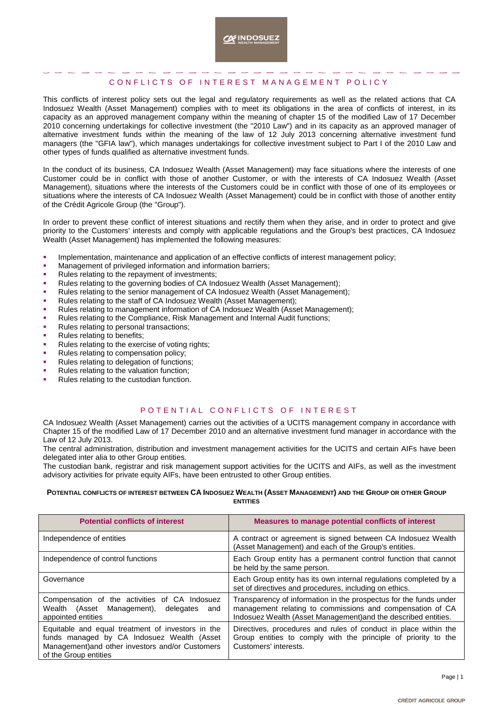## CONFLICTS OF INTEREST MANAGEMENT POLICY

This conflicts of interest policy sets out the legal and regulatory requirements as well as the related actions that CA Indosuez Wealth (Asset Management) complies with to meet its obligations in the area of conflicts of interest, in its capacity as an approved management company within the meaning of chapter 15 of the modified Law of 17 December 2010 concerning undertakings for collective investment (the "2010 Law") and in its capacity as an approved manager of alternative investment funds within the meaning of the law of 12 July 2013 concerning alternative investment fund managers (the "GFIA law"), which manages undertakings for collective investment subject to Part I of the 2010 Law and other types of funds qualified as alternative investment funds.

In the conduct of its business, CA Indosuez Wealth (Asset Management) may face situations where the interests of one Customer could be in conflict with those of another Customer, or with the interests of CA Indosuez Wealth (Asset Management), situations where the interests of the Customers could be in conflict with those of one of its employees or situations where the interests of CA Indosuez Wealth (Asset Management) could be in conflict with those of another entity of the Crédit Agricole Group (the "Group").

In order to prevent these conflict of interest situations and rectify them when they arise, and in order to protect and give priority to the Customers' interests and comply with applicable regulations and the Group's best practices, CA Indosuez Wealth (Asset Management) has implemented the following measures:

- Implementation, maintenance and application of an effective conflicts of interest management policy;
- Management of privileged information and information barriers;
- Rules relating to the repayment of investments;
- Rules relating to the governing bodies of CA Indosuez Wealth (Asset Management);
- Rules relating to the senior management of CA Indosuez Wealth (Asset Management);
- Rules relating to the staff of CA Indosuez Wealth (Asset Management);
- Rules relating to management information of CA Indosuez Wealth (Asset Management);
- Rules relating to the Compliance, Risk Management and Internal Audit functions;
- Rules relating to personal transactions;
- Rules relating to benefits;
- Rules relating to the exercise of voting rights;
- Rules relating to compensation policy;
- Rules relating to delegation of functions;
- Rules relating to the valuation function;
- Rules relating to the custodian function.

## POTENTIAL CONFLICTS OF INTEREST

CA Indosuez Wealth (Asset Management) carries out the activities of a UCITS management company in accordance with Chapter 15 of the modified Law of 17 December 2010 and an alternative investment fund manager in accordance with the Law of 12 July 2013.

The central administration, distribution and investment management activities for the UCITS and certain AIFs have been delegated inter alia to other Group entities.

The custodian bank, registrar and risk management support activities for the UCITS and AIFs, as well as the investment advisory activities for private equity AIFs, have been entrusted to other Group entities.

## POTENTIAL CONFLICTS OF INTEREST BETWEEN CA INDOSUEZ WEALTH (ASSET MANAGEMENT) AND THE GROUP OR OTHER GROUP **ENTITIES**

| <b>Potential conflicts of interest</b>                                                                                                                                       | Measures to manage potential conflicts of interest                                                                                                                                               |
|------------------------------------------------------------------------------------------------------------------------------------------------------------------------------|--------------------------------------------------------------------------------------------------------------------------------------------------------------------------------------------------|
| Independence of entities                                                                                                                                                     | A contract or agreement is signed between CA Indosuez Wealth<br>(Asset Management) and each of the Group's entities.                                                                             |
| Independence of control functions                                                                                                                                            | Each Group entity has a permanent control function that cannot<br>be held by the same person.                                                                                                    |
| Governance                                                                                                                                                                   | Each Group entity has its own internal regulations completed by a<br>set of directives and procedures, including on ethics.                                                                      |
| Compensation of the activities of CA Indosuez<br>Wealth (Asset Management), delegates<br>and<br>appointed entities                                                           | Transparency of information in the prospectus for the funds under<br>management relating to commissions and compensation of CA<br>Indosuez Wealth (Asset Management) and the described entities. |
| Equitable and equal treatment of investors in the<br>funds managed by CA Indosuez Wealth (Asset<br>Management) and other investors and/or Customers<br>of the Group entities | Directives, procedures and rules of conduct in place within the<br>Group entities to comply with the principle of priority to the<br>Customers' interests.                                       |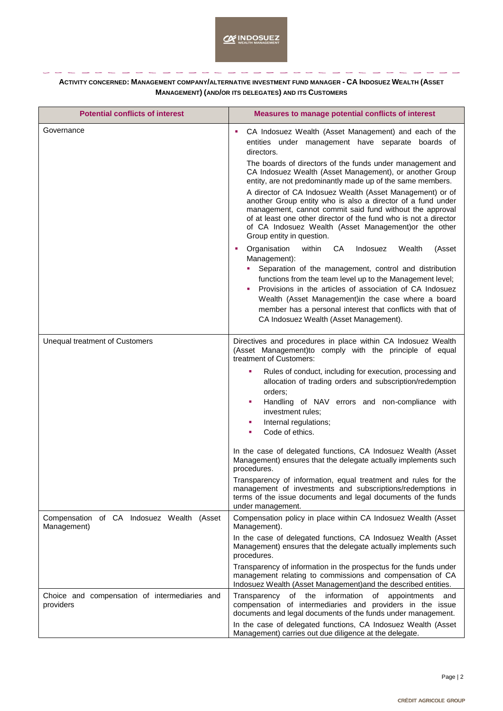**ACTIVITY CONCERNED: MANAGEMENT COMPANY/ALTERNATIVE INVESTMENT FUND MANAGER - CA INDOSUEZ WEALTH (ASSET MANAGEMENT) (AND/OR ITS DELEGATES) AND ITS CUSTOMERS**

| <b>Potential conflicts of interest</b>                      | Measures to manage potential conflicts of interest                                                                                                                                                                                                                                                                                                                                                                             |
|-------------------------------------------------------------|--------------------------------------------------------------------------------------------------------------------------------------------------------------------------------------------------------------------------------------------------------------------------------------------------------------------------------------------------------------------------------------------------------------------------------|
| Governance                                                  | CA Indosuez Wealth (Asset Management) and each of the<br>entities under management have separate boards of<br>directors.                                                                                                                                                                                                                                                                                                       |
|                                                             | The boards of directors of the funds under management and<br>CA Indosuez Wealth (Asset Management), or another Group<br>entity, are not predominantly made up of the same members.                                                                                                                                                                                                                                             |
|                                                             | A director of CA Indosuez Wealth (Asset Management) or of<br>another Group entity who is also a director of a fund under<br>management, cannot commit said fund without the approval<br>of at least one other director of the fund who is not a director<br>of CA Indosuez Wealth (Asset Management) or the other<br>Group entity in question.                                                                                 |
|                                                             | CA<br>Indosuez<br>Organisation<br>within<br>Wealth<br>(Asset<br>Management):<br>Separation of the management, control and distribution<br>functions from the team level up to the Management level;<br>Provisions in the articles of association of CA Indosuez<br>Wealth (Asset Management) in the case where a board<br>member has a personal interest that conflicts with that of<br>CA Indosuez Wealth (Asset Management). |
| Unequal treatment of Customers                              | Directives and procedures in place within CA Indosuez Wealth<br>(Asset Management)to comply with the principle of equal<br>treatment of Customers:                                                                                                                                                                                                                                                                             |
|                                                             | Rules of conduct, including for execution, processing and<br>×<br>allocation of trading orders and subscription/redemption<br>orders:<br>Handling of NAV errors and non-compliance with<br>×<br>investment rules;<br>Internal regulations;<br>×<br>Code of ethics.<br>٠                                                                                                                                                        |
|                                                             | In the case of delegated functions, CA Indosuez Wealth (Asset<br>Management) ensures that the delegate actually implements such<br>procedures.                                                                                                                                                                                                                                                                                 |
|                                                             | Transparency of information, equal treatment and rules for the<br>management of investments and subscriptions/redemptions in<br>terms of the issue documents and legal documents of the funds<br>under management.                                                                                                                                                                                                             |
| Compensation of CA Indosuez Wealth<br>(Asset<br>Management) | Compensation policy in place within CA Indosuez Wealth (Asset<br>Management).                                                                                                                                                                                                                                                                                                                                                  |
|                                                             | In the case of delegated functions, CA Indosuez Wealth (Asset<br>Management) ensures that the delegate actually implements such<br>procedures.                                                                                                                                                                                                                                                                                 |
|                                                             | Transparency of information in the prospectus for the funds under<br>management relating to commissions and compensation of CA<br>Indosuez Wealth (Asset Management) and the described entities.                                                                                                                                                                                                                               |
| Choice and compensation of intermediaries and<br>providers  | Transparency of the information of appointments<br>and<br>compensation of intermediaries and providers in the issue<br>documents and legal documents of the funds under management.                                                                                                                                                                                                                                            |
|                                                             | In the case of delegated functions, CA Indosuez Wealth (Asset<br>Management) carries out due diligence at the delegate.                                                                                                                                                                                                                                                                                                        |